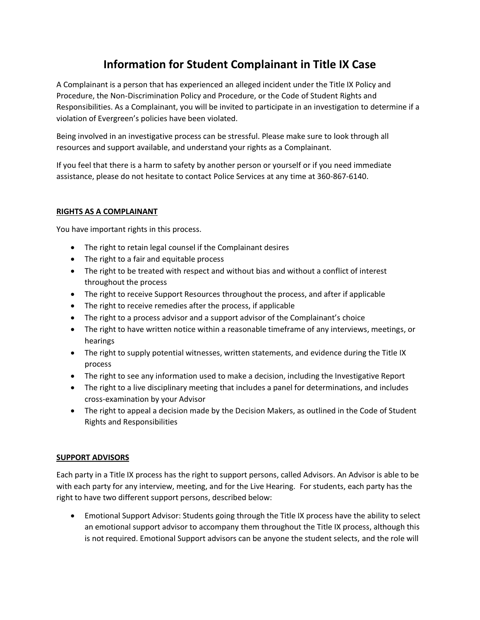# **Information for Student Complainant in Title IX Case**

A Complainant is a person that has experienced an alleged incident under the Title IX Policy and Procedure, the Non-Discrimination Policy and Procedure, or the Code of Student Rights and Responsibilities. As a Complainant, you will be invited to participate in an investigation to determine if a violation of Evergreen's policies have been violated.

Being involved in an investigative process can be stressful. Please make sure to look through all resources and support available, and understand your rights as a Complainant.

If you feel that there is a harm to safety by another person or yourself or if you need immediate assistance, please do not hesitate to contact Police Services at any time at 360-867-6140.

# **RIGHTS AS A COMPLAINANT**

You have important rights in this process.

- The right to retain legal counsel if the Complainant desires
- The right to a fair and equitable process
- The right to be treated with respect and without bias and without a conflict of interest throughout the process
- The right to receive Support Resources throughout the process, and after if applicable
- The right to receive remedies after the process, if applicable
- The right to a process advisor and a support advisor of the Complainant's choice
- The right to have written notice within a reasonable timeframe of any interviews, meetings, or hearings
- The right to supply potential witnesses, written statements, and evidence during the Title IX process
- The right to see any information used to make a decision, including the Investigative Report
- The right to a live disciplinary meeting that includes a panel for determinations, and includes cross-examination by your Advisor
- The right to appeal a decision made by the Decision Makers, as outlined in the Code of Student Rights and Responsibilities

# **SUPPORT ADVISORS**

Each party in a Title IX process has the right to support persons, called Advisors. An Advisor is able to be with each party for any interview, meeting, and for the Live Hearing. For students, each party has the right to have two different support persons, described below:

 Emotional Support Advisor: Students going through the Title IX process have the ability to select an emotional support advisor to accompany them throughout the Title IX process, although this is not required. Emotional Support advisors can be anyone the student selects, and the role will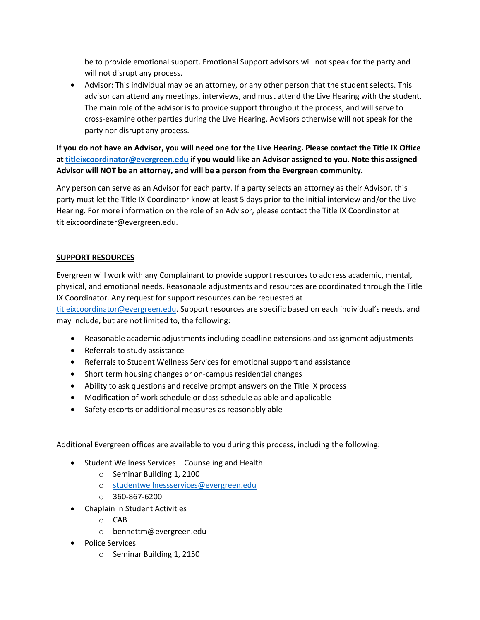be to provide emotional support. Emotional Support advisors will not speak for the party and will not disrupt any process.

 Advisor: This individual may be an attorney, or any other person that the student selects. This advisor can attend any meetings, interviews, and must attend the Live Hearing with the student. The main role of the advisor is to provide support throughout the process, and will serve to cross-examine other parties during the Live Hearing. Advisors otherwise will not speak for the party nor disrupt any process.

**If you do not have an Advisor, you will need one for the Live Hearing. Please contact the Title IX Office a[t titleixcoordinator@evergreen.edu](mailto:titleixcoordinator@evergreen.edu) if you would like an Advisor assigned to you. Note this assigned Advisor will NOT be an attorney, and will be a person from the Evergreen community.**

Any person can serve as an Advisor for each party. If a party selects an attorney as their Advisor, this party must let the Title IX Coordinator know at least 5 days prior to the initial interview and/or the Live Hearing. For more information on the role of an Advisor, please contact the Title IX Coordinator at titleixcoordinater@evergreen.edu.

#### **SUPPORT RESOURCES**

Evergreen will work with any Complainant to provide support resources to address academic, mental, physical, and emotional needs. Reasonable adjustments and resources are coordinated through the Title IX Coordinator. Any request for support resources can be requested at [titleixcoordinator@evergreen.edu](mailto:titleixcoordinator@evergreen.edu). Support resources are specific based on each individual's needs, and may include, but are not limited to, the following:

- Reasonable academic adjustments including deadline extensions and assignment adjustments
- Referrals to study assistance
- Referrals to Student Wellness Services for emotional support and assistance
- Short term housing changes or on-campus residential changes
- Ability to ask questions and receive prompt answers on the Title IX process
- Modification of work schedule or class schedule as able and applicable
- Safety escorts or additional measures as reasonably able

Additional Evergreen offices are available to you during this process, including the following:

- Student Wellness Services Counseling and Health
	- o Seminar Building 1, 2100
	- o [studentwellnessservices@evergreen.edu](mailto:studentwellnessservices@evergreen.edu)
	- o 360-867-6200
- Chaplain in Student Activities
	- o CAB
	- o bennettm@evergreen.edu
- Police Services
	- o Seminar Building 1, 2150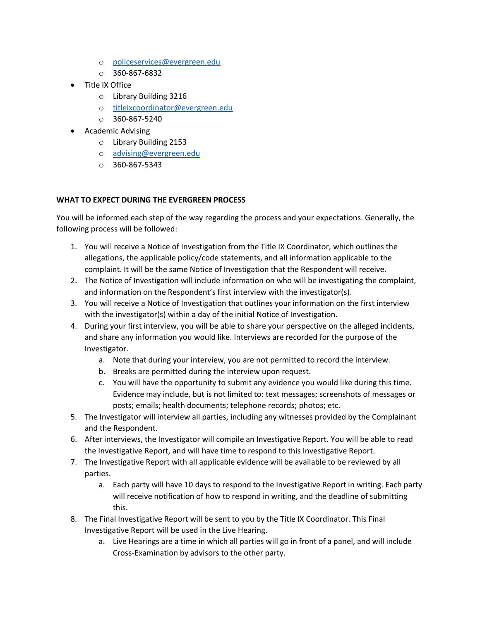- o [policeservices@evergreen.edu](mailto:policeservices@evergreen.edu)
- $O$  360-867-6832
- Title IX Office
	- o Library Building 3216
	- o [titleixcoordinator@evergreen.edu](mailto:titleixcoordinator@evergreen.edu)
	- $O$  360-867-5240
- Academic Advising
	- o Library Building 2153
	- o [advising@evergreen.edu](mailto:advising@evergreen.edu)
	- o 360-867-5343

# **WHAT TO EXPECT DURING THE EVERGREEN PROCESS**

You will be informed each step of the way regarding the process and your expectations. Generally, the following process will be followed:

- 1. You will receive a Notice of Investigation from the Title IX Coordinator, which outlines the allegations, the applicable policy/code statements, and all information applicable to the complaint. It will be the same Notice of Investigation that the Respondent will receive.
- 2. The Notice of Investigation will include information on who will be investigating the complaint, and information on the Respondent's first interview with the investigator(s).
- 3. You will receive a Notice of Investigation that outlines your information on the first interview with the investigator(s) within a day of the initial Notice of Investigation.
- 4. During your first interview, you will be able to share your perspective on the alleged incidents, and share any information you would like. Interviews are recorded for the purpose of the Investigator.
	- a. Note that during your interview, you are not permitted to record the interview.
	- b. Breaks are permitted during the interview upon request.
	- c. You will have the opportunity to submit any evidence you would like during this time. Evidence may include, but is not limited to: text messages; screenshots of messages or posts; emails; health documents; telephone records; photos; etc.
- 5. The Investigator will interview all parties, including any witnesses provided by the Complainant and the Respondent.
- 6. After interviews, the Investigator will compile an Investigative Report. You will be able to read the Investigative Report, and will have time to respond to this Investigative Report.
- 7. The Investigative Report with all applicable evidence will be available to be reviewed by all parties.
	- a. Each party will have 10 days to respond to the Investigative Report in writing. Each party will receive notification of how to respond in writing, and the deadline of submitting this.
- 8. The Final Investigative Report will be sent to you by the Title IX Coordinator. This Final Investigative Report will be used in the Live Hearing.
	- a. Live Hearings are a time in which all parties will go in front of a panel, and will include Cross-Examination by advisors to the other party.